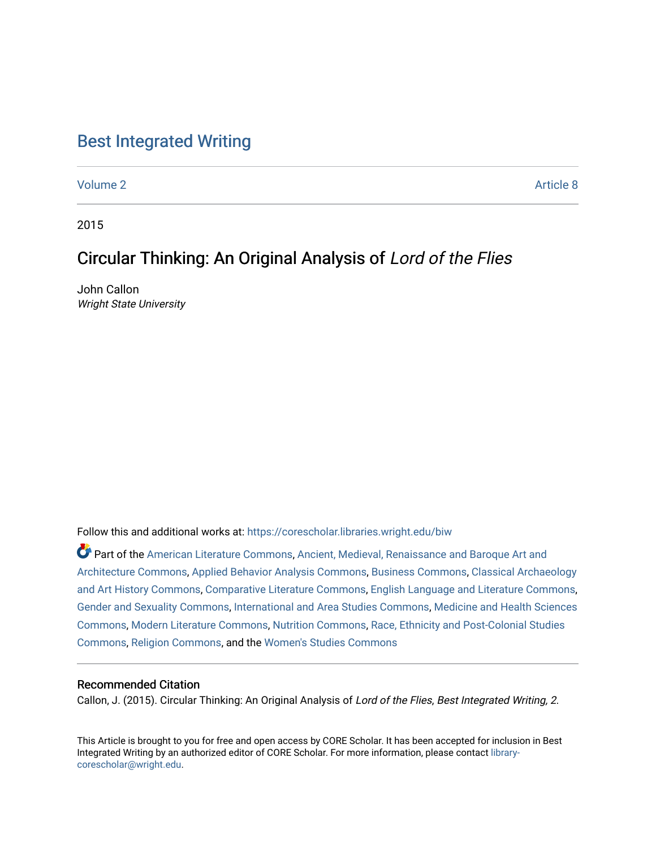### [Best Integrated Writing](https://corescholar.libraries.wright.edu/biw)

[Volume 2](https://corescholar.libraries.wright.edu/biw/vol2) Article 8

2015

## Circular Thinking: An Original Analysis of Lord of the Flies

John Callon Wright State University

Follow this and additional works at: [https://corescholar.libraries.wright.edu/biw](https://corescholar.libraries.wright.edu/biw?utm_source=corescholar.libraries.wright.edu%2Fbiw%2Fvol2%2Fiss1%2F8&utm_medium=PDF&utm_campaign=PDFCoverPages)

Part of the [American Literature Commons](http://network.bepress.com/hgg/discipline/441?utm_source=corescholar.libraries.wright.edu%2Fbiw%2Fvol2%2Fiss1%2F8&utm_medium=PDF&utm_campaign=PDFCoverPages), [Ancient, Medieval, Renaissance and Baroque Art and](http://network.bepress.com/hgg/discipline/512?utm_source=corescholar.libraries.wright.edu%2Fbiw%2Fvol2%2Fiss1%2F8&utm_medium=PDF&utm_campaign=PDFCoverPages)  [Architecture Commons,](http://network.bepress.com/hgg/discipline/512?utm_source=corescholar.libraries.wright.edu%2Fbiw%2Fvol2%2Fiss1%2F8&utm_medium=PDF&utm_campaign=PDFCoverPages) [Applied Behavior Analysis Commons](http://network.bepress.com/hgg/discipline/1235?utm_source=corescholar.libraries.wright.edu%2Fbiw%2Fvol2%2Fiss1%2F8&utm_medium=PDF&utm_campaign=PDFCoverPages), [Business Commons,](http://network.bepress.com/hgg/discipline/622?utm_source=corescholar.libraries.wright.edu%2Fbiw%2Fvol2%2Fiss1%2F8&utm_medium=PDF&utm_campaign=PDFCoverPages) [Classical Archaeology](http://network.bepress.com/hgg/discipline/450?utm_source=corescholar.libraries.wright.edu%2Fbiw%2Fvol2%2Fiss1%2F8&utm_medium=PDF&utm_campaign=PDFCoverPages) [and Art History Commons](http://network.bepress.com/hgg/discipline/450?utm_source=corescholar.libraries.wright.edu%2Fbiw%2Fvol2%2Fiss1%2F8&utm_medium=PDF&utm_campaign=PDFCoverPages), [Comparative Literature Commons,](http://network.bepress.com/hgg/discipline/454?utm_source=corescholar.libraries.wright.edu%2Fbiw%2Fvol2%2Fiss1%2F8&utm_medium=PDF&utm_campaign=PDFCoverPages) [English Language and Literature Commons](http://network.bepress.com/hgg/discipline/455?utm_source=corescholar.libraries.wright.edu%2Fbiw%2Fvol2%2Fiss1%2F8&utm_medium=PDF&utm_campaign=PDFCoverPages), [Gender and Sexuality Commons](http://network.bepress.com/hgg/discipline/420?utm_source=corescholar.libraries.wright.edu%2Fbiw%2Fvol2%2Fiss1%2F8&utm_medium=PDF&utm_campaign=PDFCoverPages), [International and Area Studies Commons,](http://network.bepress.com/hgg/discipline/360?utm_source=corescholar.libraries.wright.edu%2Fbiw%2Fvol2%2Fiss1%2F8&utm_medium=PDF&utm_campaign=PDFCoverPages) [Medicine and Health Sciences](http://network.bepress.com/hgg/discipline/648?utm_source=corescholar.libraries.wright.edu%2Fbiw%2Fvol2%2Fiss1%2F8&utm_medium=PDF&utm_campaign=PDFCoverPages)  [Commons](http://network.bepress.com/hgg/discipline/648?utm_source=corescholar.libraries.wright.edu%2Fbiw%2Fvol2%2Fiss1%2F8&utm_medium=PDF&utm_campaign=PDFCoverPages), [Modern Literature Commons](http://network.bepress.com/hgg/discipline/1050?utm_source=corescholar.libraries.wright.edu%2Fbiw%2Fvol2%2Fiss1%2F8&utm_medium=PDF&utm_campaign=PDFCoverPages), [Nutrition Commons,](http://network.bepress.com/hgg/discipline/95?utm_source=corescholar.libraries.wright.edu%2Fbiw%2Fvol2%2Fiss1%2F8&utm_medium=PDF&utm_campaign=PDFCoverPages) [Race, Ethnicity and Post-Colonial Studies](http://network.bepress.com/hgg/discipline/566?utm_source=corescholar.libraries.wright.edu%2Fbiw%2Fvol2%2Fiss1%2F8&utm_medium=PDF&utm_campaign=PDFCoverPages)  [Commons](http://network.bepress.com/hgg/discipline/566?utm_source=corescholar.libraries.wright.edu%2Fbiw%2Fvol2%2Fiss1%2F8&utm_medium=PDF&utm_campaign=PDFCoverPages), [Religion Commons,](http://network.bepress.com/hgg/discipline/538?utm_source=corescholar.libraries.wright.edu%2Fbiw%2Fvol2%2Fiss1%2F8&utm_medium=PDF&utm_campaign=PDFCoverPages) and the [Women's Studies Commons](http://network.bepress.com/hgg/discipline/561?utm_source=corescholar.libraries.wright.edu%2Fbiw%2Fvol2%2Fiss1%2F8&utm_medium=PDF&utm_campaign=PDFCoverPages) 

#### Recommended Citation

Callon, J. (2015). Circular Thinking: An Original Analysis of Lord of the Flies, Best Integrated Writing, 2.

This Article is brought to you for free and open access by CORE Scholar. It has been accepted for inclusion in Best Integrated Writing by an authorized editor of CORE Scholar. For more information, please contact [library](mailto:library-corescholar@wright.edu)[corescholar@wright.edu](mailto:library-corescholar@wright.edu).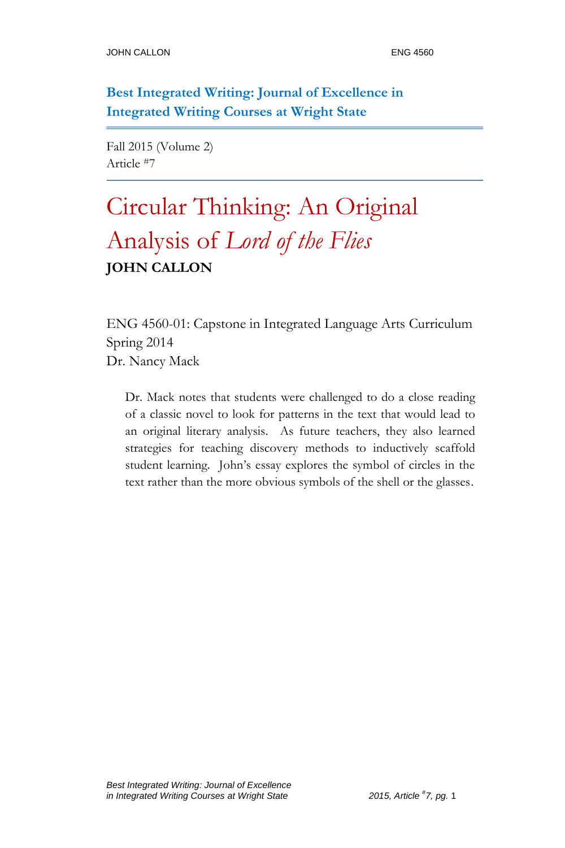**Best Integrated Writing: Journal of Excellence in Integrated Writing Courses at Wright State**

Fall 2015 (Volume 2) Article #7

# Circular Thinking: An Original Analysis of *Lord of the Flies* **JOHN CALLON**

ENG 4560-01: Capstone in Integrated Language Arts Curriculum Spring 2014 Dr. Nancy Mack

Dr. Mack notes that students were challenged to do a close reading of a classic novel to look for patterns in the text that would lead to an original literary analysis. As future teachers, they also learned strategies for teaching discovery methods to inductively scaffold student learning. John's essay explores the symbol of circles in the text rather than the more obvious symbols of the shell or the glasses.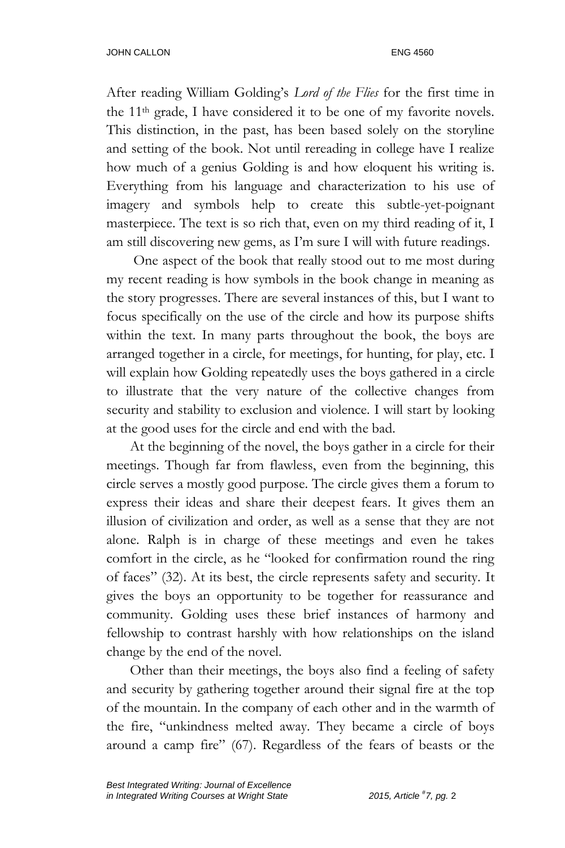After reading William Golding's *Lord of the Flies* for the first time in the 11th grade, I have considered it to be one of my favorite novels. This distinction, in the past, has been based solely on the storyline and setting of the book. Not until rereading in college have I realize how much of a genius Golding is and how eloquent his writing is. Everything from his language and characterization to his use of imagery and symbols help to create this subtle-yet-poignant masterpiece. The text is so rich that, even on my third reading of it, I am still discovering new gems, as I'm sure I will with future readings.

One aspect of the book that really stood out to me most during my recent reading is how symbols in the book change in meaning as the story progresses. There are several instances of this, but I want to focus specifically on the use of the circle and how its purpose shifts within the text. In many parts throughout the book, the boys are arranged together in a circle, for meetings, for hunting, for play, etc. I will explain how Golding repeatedly uses the boys gathered in a circle to illustrate that the very nature of the collective changes from security and stability to exclusion and violence. I will start by looking at the good uses for the circle and end with the bad.

At the beginning of the novel, the boys gather in a circle for their meetings. Though far from flawless, even from the beginning, this circle serves a mostly good purpose. The circle gives them a forum to express their ideas and share their deepest fears. It gives them an illusion of civilization and order, as well as a sense that they are not alone. Ralph is in charge of these meetings and even he takes comfort in the circle, as he "looked for confirmation round the ring of faces" (32). At its best, the circle represents safety and security. It gives the boys an opportunity to be together for reassurance and community. Golding uses these brief instances of harmony and fellowship to contrast harshly with how relationships on the island change by the end of the novel.

Other than their meetings, the boys also find a feeling of safety and security by gathering together around their signal fire at the top of the mountain. In the company of each other and in the warmth of the fire, "unkindness melted away. They became a circle of boys around a camp fire" (67). Regardless of the fears of beasts or the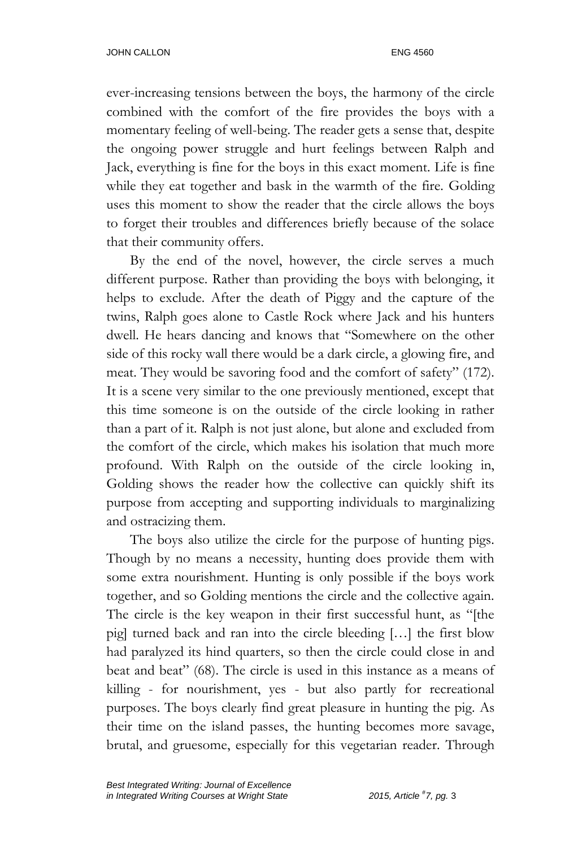ever-increasing tensions between the boys, the harmony of the circle combined with the comfort of the fire provides the boys with a momentary feeling of well-being. The reader gets a sense that, despite the ongoing power struggle and hurt feelings between Ralph and Jack, everything is fine for the boys in this exact moment. Life is fine while they eat together and bask in the warmth of the fire. Golding uses this moment to show the reader that the circle allows the boys to forget their troubles and differences briefly because of the solace that their community offers.

By the end of the novel, however, the circle serves a much different purpose. Rather than providing the boys with belonging, it helps to exclude. After the death of Piggy and the capture of the twins, Ralph goes alone to Castle Rock where Jack and his hunters dwell. He hears dancing and knows that "Somewhere on the other side of this rocky wall there would be a dark circle, a glowing fire, and meat. They would be savoring food and the comfort of safety" (172). It is a scene very similar to the one previously mentioned, except that this time someone is on the outside of the circle looking in rather than a part of it. Ralph is not just alone, but alone and excluded from the comfort of the circle, which makes his isolation that much more profound. With Ralph on the outside of the circle looking in, Golding shows the reader how the collective can quickly shift its purpose from accepting and supporting individuals to marginalizing and ostracizing them.

The boys also utilize the circle for the purpose of hunting pigs. Though by no means a necessity, hunting does provide them with some extra nourishment. Hunting is only possible if the boys work together, and so Golding mentions the circle and the collective again. The circle is the key weapon in their first successful hunt, as "[the pig] turned back and ran into the circle bleeding […] the first blow had paralyzed its hind quarters, so then the circle could close in and beat and beat" (68). The circle is used in this instance as a means of killing - for nourishment, yes - but also partly for recreational purposes. The boys clearly find great pleasure in hunting the pig. As their time on the island passes, the hunting becomes more savage, brutal, and gruesome, especially for this vegetarian reader. Through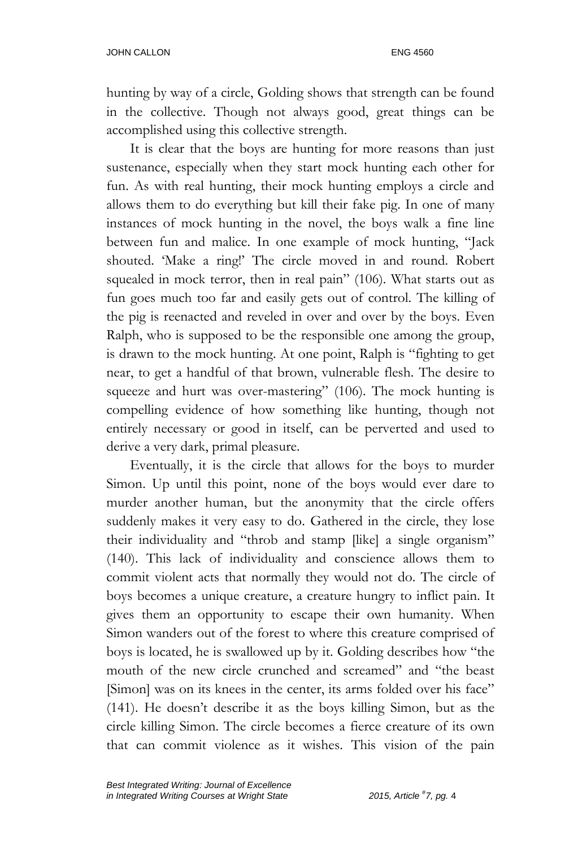hunting by way of a circle, Golding shows that strength can be found in the collective. Though not always good, great things can be accomplished using this collective strength.

It is clear that the boys are hunting for more reasons than just sustenance, especially when they start mock hunting each other for fun. As with real hunting, their mock hunting employs a circle and allows them to do everything but kill their fake pig. In one of many instances of mock hunting in the novel, the boys walk a fine line between fun and malice. In one example of mock hunting, "Jack shouted. 'Make a ring!' The circle moved in and round. Robert squealed in mock terror, then in real pain" (106). What starts out as fun goes much too far and easily gets out of control. The killing of the pig is reenacted and reveled in over and over by the boys. Even Ralph, who is supposed to be the responsible one among the group, is drawn to the mock hunting. At one point, Ralph is "fighting to get near, to get a handful of that brown, vulnerable flesh. The desire to squeeze and hurt was over-mastering" (106). The mock hunting is compelling evidence of how something like hunting, though not entirely necessary or good in itself, can be perverted and used to derive a very dark, primal pleasure.

Eventually, it is the circle that allows for the boys to murder Simon. Up until this point, none of the boys would ever dare to murder another human, but the anonymity that the circle offers suddenly makes it very easy to do. Gathered in the circle, they lose their individuality and "throb and stamp [like] a single organism" (140). This lack of individuality and conscience allows them to commit violent acts that normally they would not do. The circle of boys becomes a unique creature, a creature hungry to inflict pain. It gives them an opportunity to escape their own humanity. When Simon wanders out of the forest to where this creature comprised of boys is located, he is swallowed up by it. Golding describes how "the mouth of the new circle crunched and screamed" and "the beast [Simon] was on its knees in the center, its arms folded over his face" (141). He doesn't describe it as the boys killing Simon, but as the circle killing Simon. The circle becomes a fierce creature of its own that can commit violence as it wishes. This vision of the pain